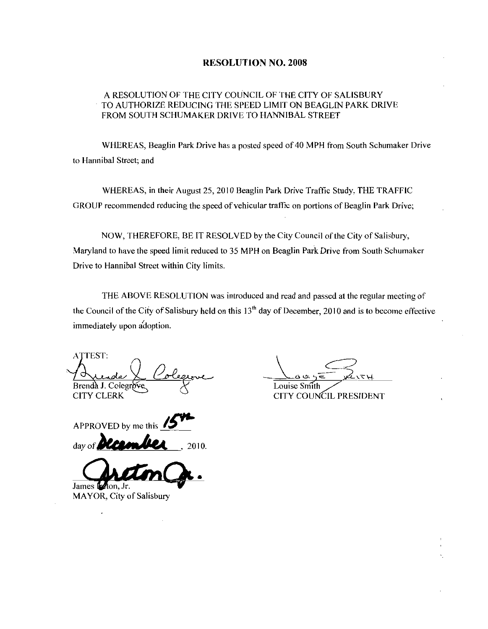## RESOLUTION NO. 2008

## A RESOLUTION OF THE CITY COUNCIL OF THE CITY OF SALISBURY TO AUTHORIZE REDUCING THE SPEED LIMIT ON BEAGLIN PARK DRIVE FROM SOUTH SCHUMAKER DRIVE TO HANNIBAL STREET

WHEREAS, Beaglin Park Drive has a posted speed of 40 MPH from South Schumaker Drive to Hannibal Street; and

WHEREAS, in their August 25, 2010 Beaglin Park Drive Traffic Study, THE TRAFFIC GROUP recommended reducing the speed of vehicular traffic on portions of Beaglin Park Drive;

NOW, THEREFORE, BE IT RESOLVED by the City Council of the City of Salisbury, Maryland to have the speed limit reduced to <sup>35</sup> MPH on Beaglin Pazk Drive from South Schumaker Drive to Hannibal Street within City limits

THE ABOVE RESOLUTION was introduced and read and passed at the regular meeting of the Council of the City of Salisbury held on this  $13<sup>th</sup>$  day of December, 2010 and is to become effective immediately upon adoption.

**ATTEST:** la la Coleg<br>olegrove Brenda J. Colegrove **CITY CLERK** 

Louise Smith Louise Smith

CITY COUNCIL PRESIDENT

APPROVED by me this APPROVED by me this  $15$ <sup>th</sup> day of **Dicember**, 2010.

James **P**zton, Jr.

MAYOR, City of Salisbury